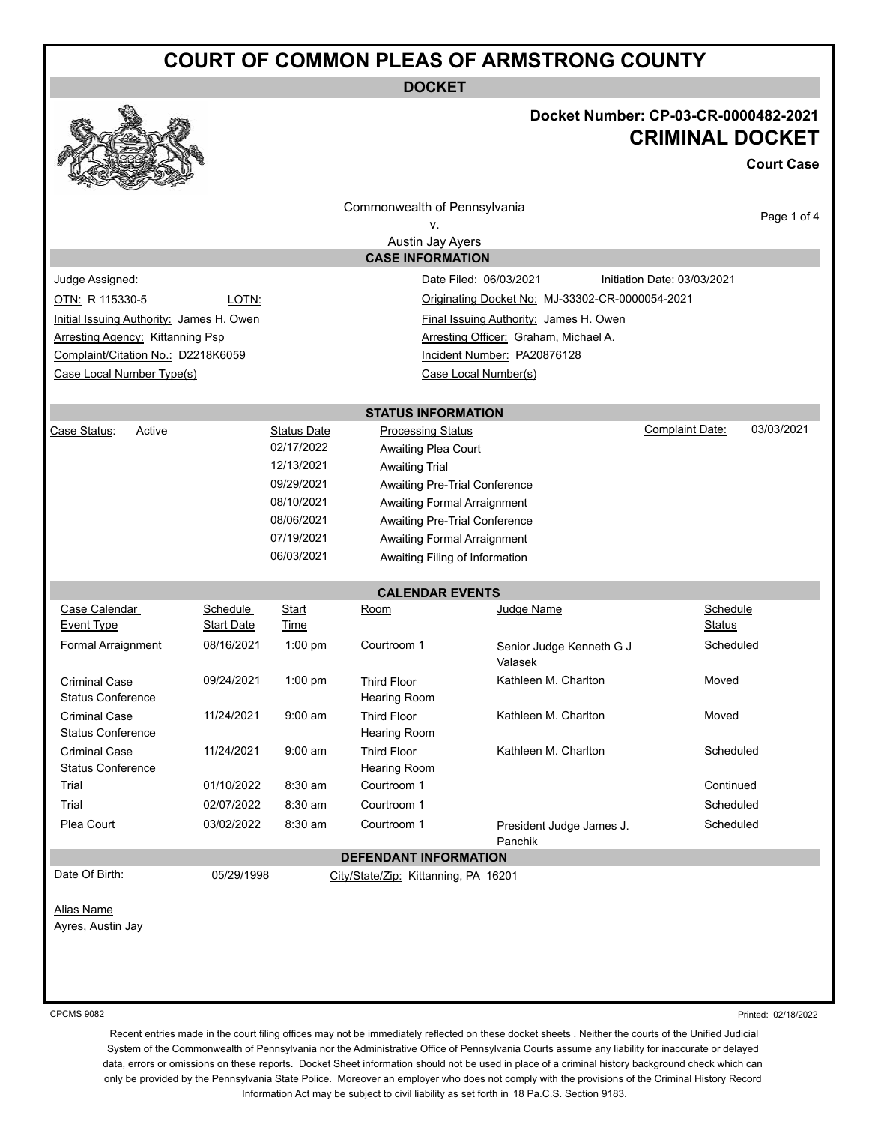## **COURT OF COMMON PLEAS OF ARMSTRONG COUNTY**

**DOCKET**



## **Docket Number: CP-03-CR-0000482-2021 CRIMINAL DOCKET**

**Court Case**

|                                                                                    |                   |                                  | Commonwealth of Pennsylvania                 |                                       | Page 1 of 4                          |  |  |  |
|------------------------------------------------------------------------------------|-------------------|----------------------------------|----------------------------------------------|---------------------------------------|--------------------------------------|--|--|--|
| ν.                                                                                 |                   |                                  |                                              |                                       |                                      |  |  |  |
| Austin Jay Ayers                                                                   |                   |                                  |                                              |                                       |                                      |  |  |  |
| <b>CASE INFORMATION</b>                                                            |                   |                                  |                                              |                                       |                                      |  |  |  |
| Judge Assigned:<br>Date Filed: 06/03/2021<br>Initiation Date: 03/03/2021           |                   |                                  |                                              |                                       |                                      |  |  |  |
| OTN: R 115330-5<br>LOTN:<br>Originating Docket No: MJ-33302-CR-0000054-2021        |                   |                                  |                                              |                                       |                                      |  |  |  |
| Initial Issuing Authority: James H. Owen<br>Final Issuing Authority: James H. Owen |                   |                                  |                                              |                                       |                                      |  |  |  |
| <b>Arresting Agency: Kittanning Psp</b>                                            |                   |                                  |                                              | Arresting Officer: Graham, Michael A. |                                      |  |  |  |
| Complaint/Citation No.: D2218K6059                                                 |                   |                                  | Incident Number: PA20876128                  |                                       |                                      |  |  |  |
| Case Local Number Type(s)                                                          |                   |                                  |                                              |                                       |                                      |  |  |  |
|                                                                                    |                   |                                  |                                              |                                       |                                      |  |  |  |
| Case Status:<br>Active                                                             |                   |                                  | <b>STATUS INFORMATION</b>                    |                                       | 03/03/2021<br><b>Complaint Date:</b> |  |  |  |
|                                                                                    |                   | <b>Status Date</b><br>02/17/2022 | <b>Processing Status</b>                     |                                       |                                      |  |  |  |
|                                                                                    |                   | 12/13/2021                       | Awaiting Plea Court<br><b>Awaiting Trial</b> |                                       |                                      |  |  |  |
|                                                                                    |                   | 09/29/2021                       | <b>Awaiting Pre-Trial Conference</b>         |                                       |                                      |  |  |  |
|                                                                                    |                   | 08/10/2021                       | <b>Awaiting Formal Arraignment</b>           |                                       |                                      |  |  |  |
|                                                                                    |                   | 08/06/2021                       | <b>Awaiting Pre-Trial Conference</b>         |                                       |                                      |  |  |  |
|                                                                                    |                   | 07/19/2021                       | <b>Awaiting Formal Arraignment</b>           |                                       |                                      |  |  |  |
|                                                                                    |                   | 06/03/2021                       | Awaiting Filing of Information               |                                       |                                      |  |  |  |
|                                                                                    |                   |                                  |                                              |                                       |                                      |  |  |  |
|                                                                                    |                   |                                  | <b>CALENDAR EVENTS</b>                       |                                       |                                      |  |  |  |
| Case Calendar                                                                      | Schedule          | Start                            | Room                                         | Judge Name                            | Schedule                             |  |  |  |
| Event Type                                                                         | <b>Start Date</b> | Time                             |                                              |                                       | Status                               |  |  |  |
| Formal Arraignment                                                                 | 08/16/2021        | $1:00$ pm                        | Courtroom 1                                  | Senior Judge Kenneth G J<br>Valasek   | Scheduled                            |  |  |  |
| <b>Criminal Case</b><br><b>Status Conference</b>                                   | 09/24/2021        | 1:00 pm                          | <b>Third Floor</b><br><b>Hearing Room</b>    | Kathleen M. Charlton                  | Moved                                |  |  |  |
| <b>Criminal Case</b><br><b>Status Conference</b>                                   | 11/24/2021        | $9:00$ am                        | <b>Third Floor</b><br>Hearing Room           | Kathleen M. Charlton                  | Moved                                |  |  |  |
| <b>Criminal Case</b><br><b>Status Conference</b>                                   | 11/24/2021        | $9:00$ am                        | <b>Third Floor</b><br>Hearing Room           | Kathleen M. Charlton                  | Scheduled                            |  |  |  |
| Trial                                                                              | 01/10/2022        | 8:30 am                          | Courtroom 1                                  |                                       | Continued                            |  |  |  |
| Trial                                                                              | 02/07/2022        | 8:30 am                          | Courtroom 1                                  |                                       | Scheduled                            |  |  |  |
| Plea Court                                                                         | 03/02/2022        | 8:30 am                          | Courtroom 1                                  | President Judge James J.<br>Panchik   | Scheduled                            |  |  |  |
| <b>DEFENDANT INFORMATION</b>                                                       |                   |                                  |                                              |                                       |                                      |  |  |  |
| Date Of Birth:                                                                     | 05/29/1998        |                                  | City/State/Zip: Kittanning, PA 16201         |                                       |                                      |  |  |  |
|                                                                                    |                   |                                  |                                              |                                       |                                      |  |  |  |
| <b>Alias Name</b>                                                                  |                   |                                  |                                              |                                       |                                      |  |  |  |
| Ayres, Austin Jay                                                                  |                   |                                  |                                              |                                       |                                      |  |  |  |
|                                                                                    |                   |                                  |                                              |                                       |                                      |  |  |  |
|                                                                                    |                   |                                  |                                              |                                       |                                      |  |  |  |
|                                                                                    |                   |                                  |                                              |                                       |                                      |  |  |  |
| <b>CPCMS 9082</b>                                                                  |                   |                                  |                                              |                                       | Printed: 02/18/2022                  |  |  |  |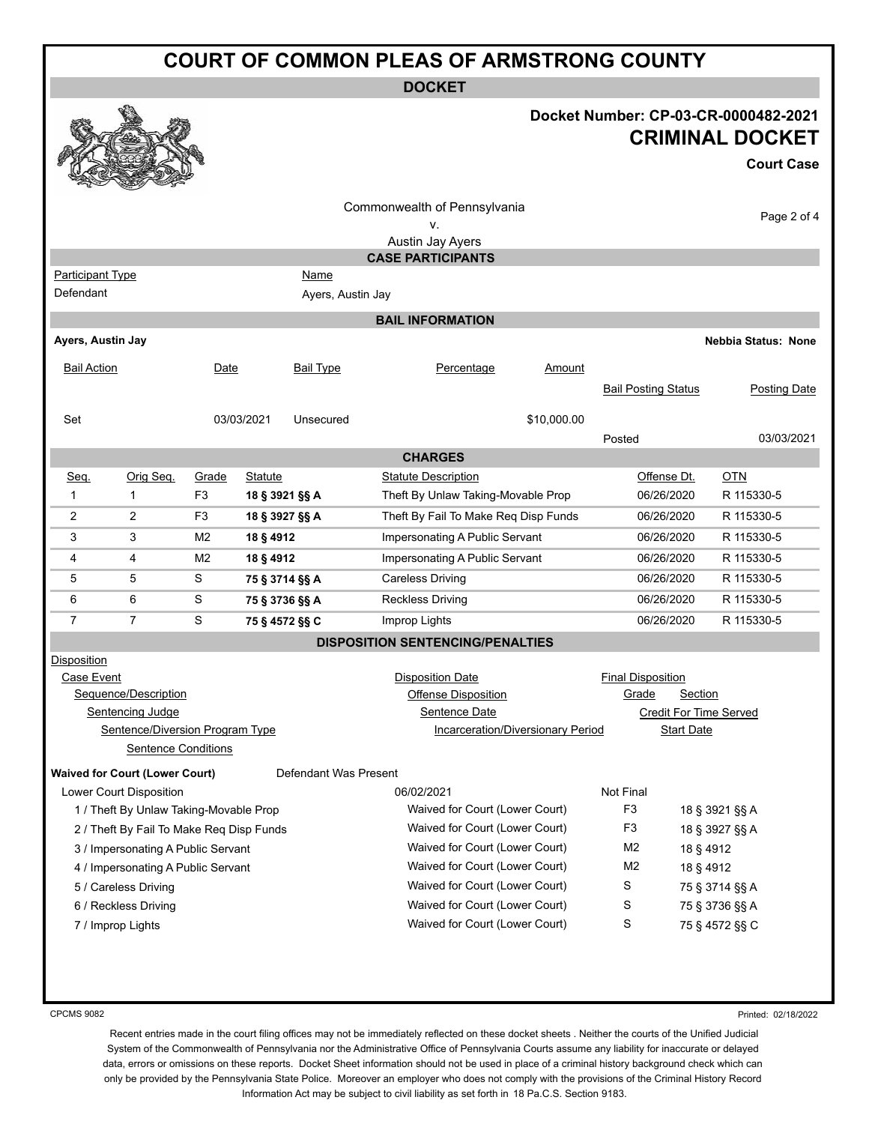| <b>COURT OF COMMON PLEAS OF ARMSTRONG COUNTY</b>               |                                 |                |                                |                   |                                         |                |                            |                                                                                     |
|----------------------------------------------------------------|---------------------------------|----------------|--------------------------------|-------------------|-----------------------------------------|----------------|----------------------------|-------------------------------------------------------------------------------------|
| <b>DOCKET</b>                                                  |                                 |                |                                |                   |                                         |                |                            |                                                                                     |
|                                                                |                                 |                |                                |                   |                                         |                |                            | Docket Number: CP-03-CR-0000482-2021<br><b>CRIMINAL DOCKET</b><br><b>Court Case</b> |
|                                                                |                                 |                |                                |                   |                                         |                |                            |                                                                                     |
|                                                                |                                 |                |                                |                   | Commonwealth of Pennsylvania            |                |                            | Page 2 of 4                                                                         |
|                                                                |                                 |                |                                |                   | ۷.<br>Austin Jay Ayers                  |                |                            |                                                                                     |
|                                                                |                                 |                |                                |                   | <b>CASE PARTICIPANTS</b>                |                |                            |                                                                                     |
| <b>Participant Type</b>                                        |                                 |                |                                | Name              |                                         |                |                            |                                                                                     |
| Defendant                                                      |                                 |                |                                | Ayers, Austin Jay |                                         |                |                            |                                                                                     |
|                                                                |                                 |                |                                |                   | <b>BAIL INFORMATION</b>                 |                |                            |                                                                                     |
| Ayers, Austin Jay                                              |                                 |                |                                |                   |                                         |                |                            | <b>Nebbia Status: None</b>                                                          |
| <b>Bail Action</b>                                             |                                 | Date           |                                | <b>Bail Type</b>  | Percentage                              | Amount         |                            |                                                                                     |
|                                                                |                                 |                |                                |                   |                                         |                | <b>Bail Posting Status</b> | <b>Posting Date</b>                                                                 |
|                                                                |                                 |                |                                |                   |                                         |                |                            |                                                                                     |
| Set                                                            |                                 |                | 03/03/2021                     | Unsecured         |                                         | \$10,000.00    |                            |                                                                                     |
|                                                                |                                 |                |                                |                   |                                         |                | Posted                     | 03/03/2021                                                                          |
|                                                                |                                 |                |                                |                   | <b>CHARGES</b>                          |                |                            |                                                                                     |
| Seq.                                                           | Orig Seq.                       | Grade          | Statute                        |                   | <b>Statute Description</b>              |                | Offense Dt.                | <b>OTN</b>                                                                          |
| 1                                                              | 1                               | F <sub>3</sub> | 18 § 3921 §§ A                 |                   | Theft By Unlaw Taking-Movable Prop      |                | 06/26/2020                 | R 115330-5                                                                          |
| 2                                                              | 2                               | F <sub>3</sub> | 18 § 3927 §§ A                 |                   | Theft By Fail To Make Req Disp Funds    |                | 06/26/2020                 | R 115330-5                                                                          |
| 3                                                              | 3                               | M <sub>2</sub> | 18 § 4912                      |                   | Impersonating A Public Servant          |                | 06/26/2020                 | R 115330-5                                                                          |
| 4                                                              | 4                               | M <sub>2</sub> | 18 § 4912                      |                   | Impersonating A Public Servant          |                | 06/26/2020                 | R 115330-5                                                                          |
| 5                                                              | 5                               | S              | 75 § 3714 §§ A                 |                   | <b>Careless Driving</b>                 |                | 06/26/2020                 | R 115330-5                                                                          |
| 6                                                              | 6                               | S              | 75 § 3736 §§ A                 |                   | <b>Reckless Driving</b>                 |                | 06/26/2020                 | R 115330-5                                                                          |
| $\overline{7}$                                                 | $\overline{7}$                  | S              | 75 § 4572 §§ C                 |                   | Improp Lights                           |                | 06/26/2020                 | R 115330-5                                                                          |
|                                                                |                                 |                |                                |                   | <b>DISPOSITION SENTENCING/PENALTIES</b> |                |                            |                                                                                     |
| Disposition                                                    |                                 |                |                                |                   |                                         |                |                            |                                                                                     |
| Case Event                                                     |                                 |                |                                |                   | <b>Disposition Date</b>                 |                | <b>Final Disposition</b>   |                                                                                     |
|                                                                | Sequence/Description            |                |                                |                   | <b>Offense Disposition</b>              |                | <u>Grade</u>               | Section                                                                             |
|                                                                | Sentencing Judge                |                |                                |                   | Sentence Date                           |                |                            | <b>Credit For Time Served</b>                                                       |
|                                                                | Sentence/Diversion Program Type |                |                                |                   | Incarceration/Diversionary Period       |                | <b>Start Date</b>          |                                                                                     |
| <b>Sentence Conditions</b>                                     |                                 |                |                                |                   |                                         |                |                            |                                                                                     |
| <b>Waived for Court (Lower Court)</b><br>Defendant Was Present |                                 |                |                                |                   |                                         |                |                            |                                                                                     |
|                                                                | Lower Court Disposition         |                |                                |                   | 06/02/2021                              |                | Not Final                  |                                                                                     |
| 1 / Theft By Unlaw Taking-Movable Prop                         |                                 |                | Waived for Court (Lower Court) |                   | F <sub>3</sub>                          | 18 § 3921 §§ A |                            |                                                                                     |
| 2 / Theft By Fail To Make Req Disp Funds                       |                                 |                | Waived for Court (Lower Court) |                   | F <sub>3</sub>                          | 18 § 3927 §§ A |                            |                                                                                     |
| 3 / Impersonating A Public Servant                             |                                 |                | Waived for Court (Lower Court) |                   | M <sub>2</sub>                          | 18 § 4912      |                            |                                                                                     |
| 4 / Impersonating A Public Servant                             |                                 |                |                                |                   | Waived for Court (Lower Court)          |                | M <sub>2</sub>             | 18 § 4912                                                                           |
|                                                                | 5 / Careless Driving            |                |                                |                   | Waived for Court (Lower Court)          |                | S                          | 75 § 3714 §§ A                                                                      |
|                                                                | 6 / Reckless Driving            |                |                                |                   | Waived for Court (Lower Court)          |                | S                          | 75 § 3736 §§ A                                                                      |

7 / Improp Lights Waived for Court (Lower Court) S 75 § 4572 §§ C

CPCMS 9082

Printed: 02/18/2022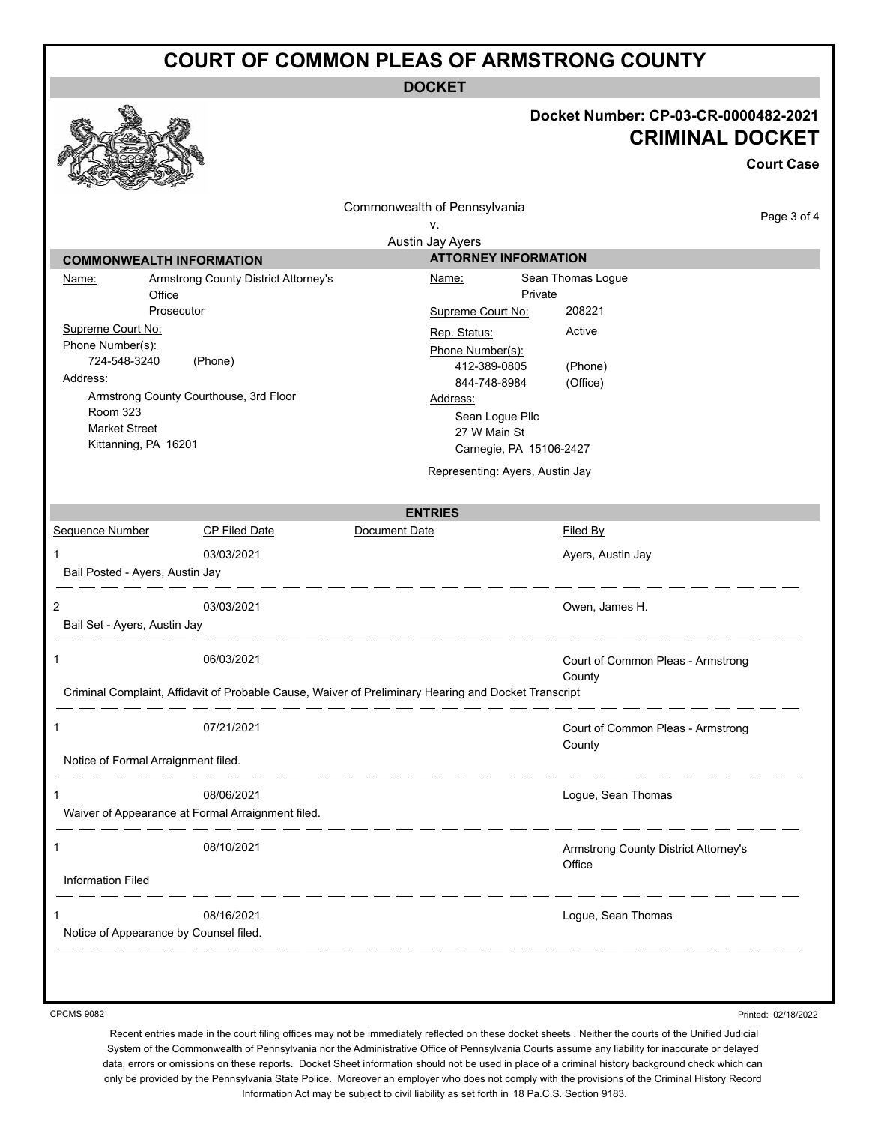## **COURT OF COMMON PLEAS OF ARMSTRONG COUNTY**

**DOCKET**

## **Docket Number: CP-03-CR-0000482-2021**

**CRIMINAL DOCKET Court Case** Commonwealth of Pennsylvania Page 3 of 4 v. Austin Jay Ayers **COMMONWEALTH INFORMATION ATTORNEY INFORMATION** Name: Armstrong County District Attorney's Name: Sean Thomas Logue **Office** Private Prosecutor Supreme Court No: 208221 Supreme Court No: Rep. Status: Active Phone Number(s): Phone Number(s): 724-548-3240 (Phone) 412-389-0805 (Phone) Address: 844-748-8984 (Office) Armstrong County Courthouse, 3rd Floor Address: Room 323 Sean Logue Pllc Market Street 27 W Main St Kittanning, PA 16201 Carnegie, PA 15106-2427 Representing: Ayers, Austin Jay **ENTRIES** Sequence Number CP Filed Date Document Date Date Filed By 1 03/03/2021 **1** 03/03/2021 **Ayers, Austin Jay** Bail Posted - Ayers, Austin Jay 2 03/03/2021 Owen, James H. Bail Set - Ayers, Austin Jay \_ \_\_ \_\_ \_\_ \_\_  $\frac{1}{2} \left( \frac{1}{2} \right) \left( \frac{1}{2} \right) \left( \frac{1}{2} \right) \left( \frac{1}{2} \right) \left( \frac{1}{2} \right) \left( \frac{1}{2} \right) \left( \frac{1}{2} \right) \left( \frac{1}{2} \right) \left( \frac{1}{2} \right) \left( \frac{1}{2} \right) \left( \frac{1}{2} \right) \left( \frac{1}{2} \right) \left( \frac{1}{2} \right) \left( \frac{1}{2} \right) \left( \frac{1}{2} \right) \left( \frac{1}{2} \right) \left( \frac$ 1 06/03/2021 Court of Common Pleas - Armstrong County Criminal Complaint, Affidavit of Probable Cause, Waiver of Preliminary Hearing and Docket Transcript 1 07/21/2021 Court of Common Pleas - Armstrong **County** Notice of Formal Arraignment filed.  $\frac{1}{2} \left( \frac{1}{2} \right) \frac{1}{2} \left( \frac{1}{2} \right) \frac{1}{2} \left( \frac{1}{2} \right) \frac{1}{2} \left( \frac{1}{2} \right) \frac{1}{2} \left( \frac{1}{2} \right) \frac{1}{2} \left( \frac{1}{2} \right) \frac{1}{2} \left( \frac{1}{2} \right) \frac{1}{2} \left( \frac{1}{2} \right) \frac{1}{2} \left( \frac{1}{2} \right) \frac{1}{2} \left( \frac{1}{2} \right) \frac{1}{2} \left( \frac{1}{2} \right)$ 1 08/06/2021 Logue, Sean Thomas Waiver of Appearance at Formal Arraignment filed. 1 08/10/2021 Armstrong County District Attorney's **Office** Information Filed 1 08/16/2021 Logue, Sean Thomas Notice of Appearance by Counsel filed.

CPCMS 9082

Printed: 02/18/2022